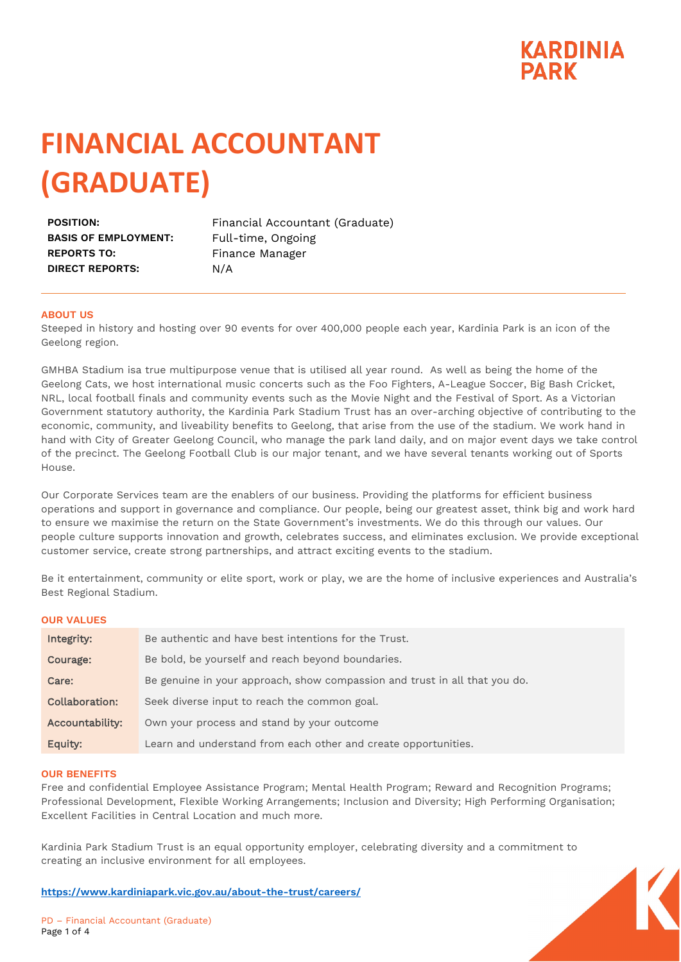

# **FINANCIAL ACCOUNTANT (GRADUATE)**

**BASIS OF EMPLOYMENT:** Full-time, Ongoing **REPORTS TO:** Finance Manager **DIRECT REPORTS:** N/A

POSITION: Financial Accountant (Graduate)

#### **ABOUT US**

Steeped in history and hosting over 90 events for over 400,000 people each year, Kardinia Park is an icon of the Geelong region.

GMHBA Stadium isa true multipurpose venue that is utilised all year round. As well as being the home of the Geelong Cats, we host international music concerts such as the Foo Fighters, A-League Soccer, Big Bash Cricket, NRL, local football finals and community events such as the Movie Night and the Festival of Sport. As a Victorian Government statutory authority, the Kardinia Park Stadium Trust has an over-arching objective of contributing to the economic, community, and liveability benefits to Geelong, that arise from the use of the stadium. We work hand in hand with City of Greater Geelong Council, who manage the park land daily, and on major event days we take control of the precinct. The Geelong Football Club is our major tenant, and we have several tenants working out of Sports House.

Our Corporate Services team are the enablers of our business. Providing the platforms for efficient business operations and support in governance and compliance. Our people, being our greatest asset, think big and work hard to ensure we maximise the return on the State Government's investments. We do this through our values. Our people culture supports innovation and growth, celebrates success, and eliminates exclusion. We provide exceptional customer service, create strong partnerships, and attract exciting events to the stadium.

Be it entertainment, community or elite sport, work or play, we are the home of inclusive experiences and Australia's Best Regional Stadium.

#### **OUR VALUES**

| Integrity:      | Be authentic and have best intentions for the Trust.                       |
|-----------------|----------------------------------------------------------------------------|
| Courage:        | Be bold, be yourself and reach beyond boundaries.                          |
| Care:           | Be genuine in your approach, show compassion and trust in all that you do. |
| Collaboration:  | Seek diverse input to reach the common goal.                               |
| Accountability: | Own your process and stand by your outcome                                 |
| Equity:         | Learn and understand from each other and create opportunities.             |

#### **OUR BENEFITS**

Free and confidential Employee Assistance Program; Mental Health Program; Reward and Recognition Programs; Professional Development, Flexible Working Arrangements; Inclusion and Diversity; High Performing Organisation; Excellent Facilities in Central Location and much more.

Kardinia Park Stadium Trust is an equal opportunity employer, celebrating diversity and a commitment to creating an inclusive environment for all employees.

**<https://www.kardiniapark.vic.gov.au/about-the-trust/careers/>**

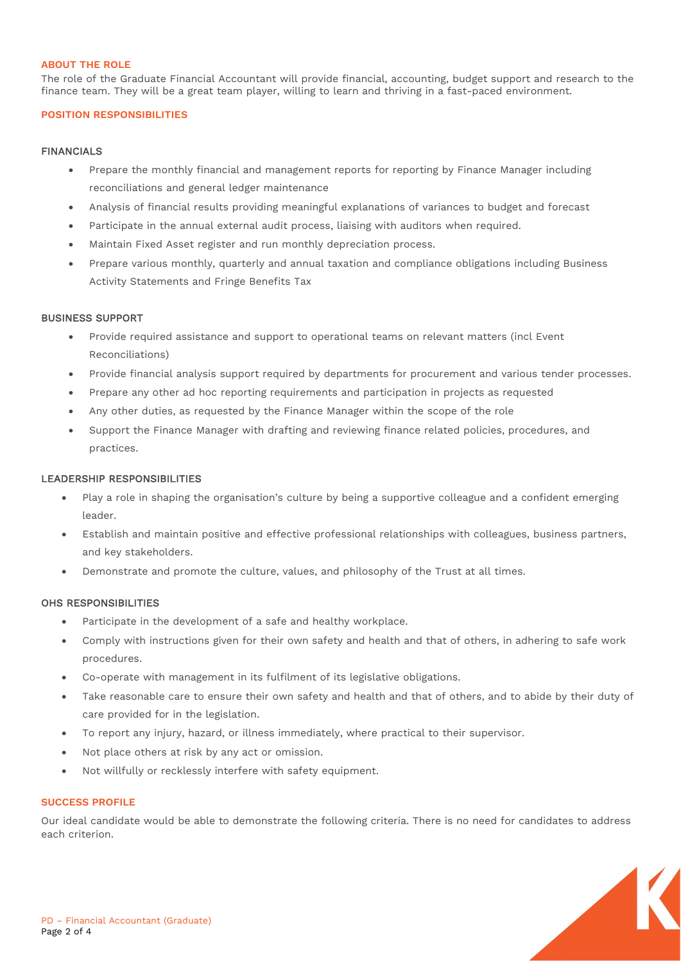# **ABOUT THE ROLE**

The role of the Graduate Financial Accountant will provide financial, accounting, budget support and research to the finance team. They will be a great team player, willing to learn and thriving in a fast-paced environment.

#### **POSITION RESPONSIBILITIES**

## FINANCIALS

- Prepare the monthly financial and management reports for reporting by Finance Manager including reconciliations and general ledger maintenance
- Analysis of financial results providing meaningful explanations of variances to budget and forecast
- Participate in the annual external audit process, liaising with auditors when required.
- Maintain Fixed Asset register and run monthly depreciation process.
- Prepare various monthly, quarterly and annual taxation and compliance obligations including Business Activity Statements and Fringe Benefits Tax

## BUSINESS SUPPORT

- Provide required assistance and support to operational teams on relevant matters (incl Event Reconciliations)
- Provide financial analysis support required by departments for procurement and various tender processes.
- Prepare any other ad hoc reporting requirements and participation in projects as requested
- Any other duties, as requested by the Finance Manager within the scope of the role
- Support the Finance Manager with drafting and reviewing finance related policies, procedures, and practices.

#### LEADERSHIP RESPONSIBILITIES

- Play a role in shaping the organisation's culture by being a supportive colleague and a confident emerging leader.
- Establish and maintain positive and effective professional relationships with colleagues, business partners, and key stakeholders.
- Demonstrate and promote the culture, values, and philosophy of the Trust at all times.

## OHS RESPONSIBILITIES

- Participate in the development of a safe and healthy workplace.
- Comply with instructions given for their own safety and health and that of others, in adhering to safe work procedures.
- Co-operate with management in its fulfilment of its legislative obligations.
- Take reasonable care to ensure their own safety and health and that of others, and to abide by their duty of care provided for in the legislation.
- To report any injury, hazard, or illness immediately, where practical to their supervisor.
- Not place others at risk by any act or omission.
- Not willfully or recklessly interfere with safety equipment.

#### **SUCCESS PROFILE**

Our ideal candidate would be able to demonstrate the following criteria. There is no need for candidates to address each criterion.

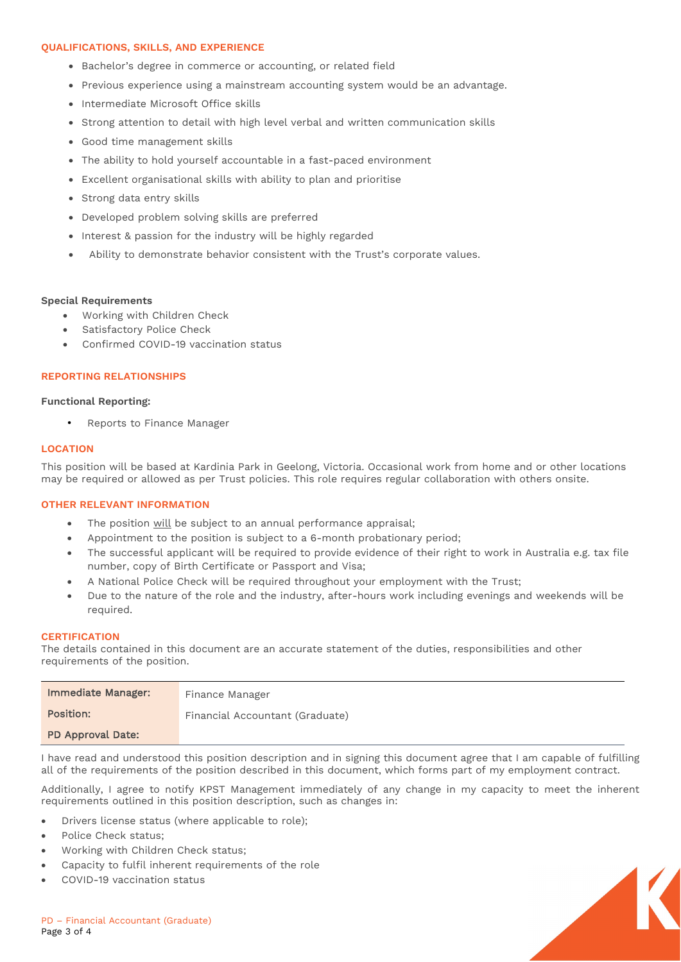## **QUALIFICATIONS, SKILLS, AND EXPERIENCE**

- Bachelor's degree in commerce or accounting, or related field
- Previous experience using a mainstream accounting system would be an advantage.
- Intermediate Microsoft Office skills
- Strong attention to detail with high level verbal and written communication skills
- Good time management skills
- The ability to hold yourself accountable in a fast-paced environment
- Excellent organisational skills with ability to plan and prioritise
- Strong data entry skills
- Developed problem solving skills are preferred
- Interest & passion for the industry will be highly regarded
- Ability to demonstrate behavior consistent with the Trust's corporate values.

#### **Special Requirements**

- Working with Children Check
- Satisfactory Police Check
- Confirmed COVID-19 vaccination status

#### **REPORTING RELATIONSHIPS**

#### **Functional Reporting:**

• Reports to Finance Manager

#### **LOCATION**

This position will be based at Kardinia Park in Geelong, Victoria. Occasional work from home and or other locations may be required or allowed as per Trust policies. This role requires regular collaboration with others onsite.

#### **OTHER RELEVANT INFORMATION**

- The position will be subject to an annual performance appraisal;
- Appointment to the position is subject to a 6-month probationary period;
- The successful applicant will be required to provide evidence of their right to work in Australia e.g. tax file number, copy of Birth Certificate or Passport and Visa;
- A National Police Check will be required throughout your employment with the Trust;
- Due to the nature of the role and the industry, after-hours work including evenings and weekends will be required.

#### **CERTIFICATION**

The details contained in this document are an accurate statement of the duties, responsibilities and other requirements of the position.

| Immediate Manager: | Finance Manager                 |
|--------------------|---------------------------------|
| Position:          | Financial Accountant (Graduate) |
| PD Approval Date:  |                                 |

I have read and understood this position description and in signing this document agree that I am capable of fulfilling all of the requirements of the position described in this document, which forms part of my employment contract.

Additionally, I agree to notify KPST Management immediately of any change in my capacity to meet the inherent requirements outlined in this position description, such as changes in:

- Drivers license status (where applicable to role);
- Police Check status;
- Working with Children Check status;
- Capacity to fulfil inherent requirements of the role
- COVID-19 vaccination status